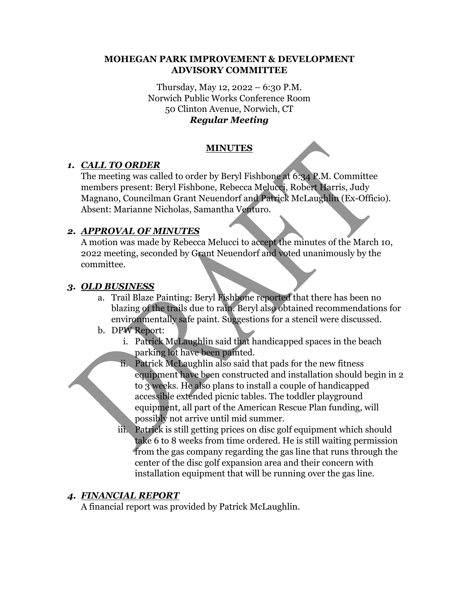#### **MOHEGAN PARK IMPROVEMENT & DEVELOPMENT ADVISORY COMMITTEE**

#### Thursday, May 12, 2022 – 6:30 P.M. Norwich Public Works Conference Room 50 Clinton Avenue, Norwich, CT *Regular Meeting*

## **MINUTES**

## *1. CALL TO ORDER*

The meeting was called to order by Beryl Fishbone at 6:34 P.M. Committee members present: Beryl Fishbone, Rebecca Melucci, Robert Harris, Judy Magnano, Councilman Grant Neuendorf and Patrick McLaughlin (Ex-Officio). Absent: Marianne Nicholas, Samantha Venturo.

## *2. APPROVAL OF MINUTES*

A motion was made by Rebecca Melucci to accept the minutes of the March 10, 2022 meeting, seconded by Grant Neuendorf and voted unanimously by the committee.

## *3. OLD BUSINESS*

- a. Trail Blaze Painting: Beryl Fishbone reported that there has been no blazing of the trails due to rain. Beryl also obtained recommendations for environmentally safe paint. Suggestions for a stencil were discussed.
- b. DPW Report:
	- i. Patrick McLaughlin said that handicapped spaces in the beach parking lot have been painted.
	- ii. Patrick McLaughlin also said that pads for the new fitness equipment have been constructed and installation should begin in 2 to 3 weeks. He also plans to install a couple of handicapped accessible extended picnic tables. The toddler playground equipment, all part of the American Rescue Plan funding, will possibly not arrive until mid summer.
	- iii. Patrick is still getting prices on disc golf equipment which should take 6 to 8 weeks from time ordered. He is still waiting permission from the gas company regarding the gas line that runs through the center of the disc golf expansion area and their concern with installation equipment that will be running over the gas line.

## *4. FINANCIAL REPORT*

A financial report was provided by Patrick McLaughlin.